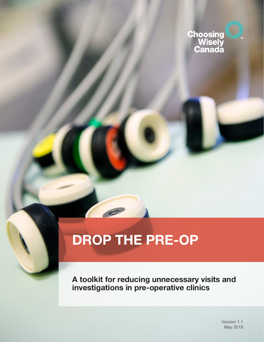

# **DROP THE PRE-OP**

**A toolkit for reducing unnecessary visits and investigations in pre-operative clinics**

> Version 1.1 May 2019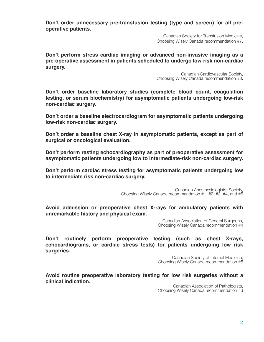**Don't order unnecessary pre-transfusion testing (type and screen) for all preoperative patients.**

> Canadian Society for Transfusion Medicine, Choosing Wisely Canada recommendation #7.

**Don't perform stress cardiac imaging or advanced non-invasive imaging as a pre-operative assessment in patients scheduled to undergo low-risk non-cardiac surgery.**

> Canadian Cardiovascular Society, Choosing Wisely Canada recommendation #3.

**Don't order baseline laboratory studies (complete blood count, coagulation testing, or serum biochemistry) for asymptomatic patients undergoing low-risk non-cardiac surgery.**

**Don't order a baseline electrocardiogram for asymptomatic patients undergoing low-risk non-cardiac surgery.**

**Don't order a baseline chest X-ray in asymptomatic patients, except as part of surgical or oncological evaluation.**

**Don't perform resting echocardiography as part of preoperative assessment for asymptomatic patients undergoing low to intermediate-risk non-cardiac surgery.**

**Don't perform cardiac stress testing for asymptomatic patients undergoing low to intermediate risk non-cardiac surgery.**

> Canadian Anesthesiologists' Society, Choosing Wisely Canada recommendation #1, #2, #3, #4, and #5

**Avoid admission or preoperative chest X-rays for ambulatory patients with unremarkable history and physical exam.**

> Canadian Association of General Surgeons, Choosing Wisely Canada recommendation #4

**Don't routinely perform preoperative testing (such as chest X-rays, echocardiograms, or cardiac stress tests) for patients undergoing low risk surgeries.** 

> Canadian Society of Internal Medicine, Choosing Wisely Canada recommendation #5

**Avoid routine preoperative laboratory testing for low risk surgeries without a clinical indication.**

Canadian Association of Pathologists, Choosing Wisely Canada recommendation #3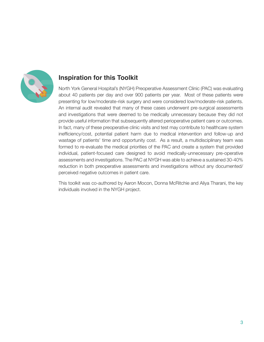

# **Inspiration for this Toolkit**

North York General Hospital's (NYGH) Preoperative Assessment Clinic (PAC) was evaluating about 40 patients per day and over 900 patients per year. Most of these patients were presenting for low/moderate-risk surgery and were considered low/moderate-risk patients. An internal audit revealed that many of these cases underwent pre-surgical assessments and investigations that were deemed to be medically unnecessary because they did not provide useful information that subsequently altered perioperative patient care or outcomes. In fact, many of these preoperative clinic visits and test may contribute to healthcare system inefficiency/cost, potential patient harm due to medical intervention and follow-up and wastage of patients' time and opportunity cost. As a result, a multidisciplinary team was formed to re-evaluate the medical priorities of the PAC and create a system that provided individual, patient-focused care designed to avoid medically-unnecessary pre-operative assessments and investigations. The PAC at NYGH was able to achieve a sustained 30-40% reduction in both preoperative assessments and investigations without any documented/ perceived negative outcomes in patient care.

This toolkit was co-authored by Aaron Mocon, Donna McRitchie and Aliya Tharani, the key individuals involved in the NYGH project.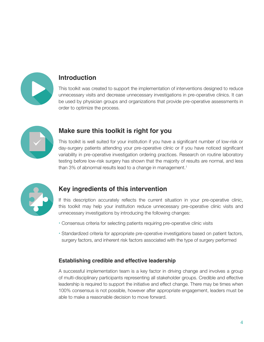

# **Introduction**

This toolkit was created to support the implementation of interventions designed to reduce unnecessary visits and decrease unnecessary investigations in pre-operative clinics. It can be used by physician groups and organizations that provide pre-operative assessments in order to optimize the process.



# **Make sure this toolkit is right for you**

This toolkit is well suited for your institution if you have a significant number of low-risk or day-surgery patients attending your pre-operative clinic or if you have noticed significant variability in pre-operative investigation ordering practices. Research on routine laboratory testing before low-risk surgery has shown that the majority of results are normal, and less than  $3\%$  of abnormal results lead to a change in management.<sup>1</sup>



# **Key ingredients of this intervention**

If this description accurately reflects the current situation in your pre-operative clinic, this toolkit may help your institution reduce unnecessary pre-operative clinic visits and unnecessary investigations by introducing the following changes:

- Consensus criteria for selecting patients requiring pre-operative clinic visits
- Standardized criteria for appropriate pre-operative investigations based on patient factors, surgery factors, and inherent risk factors associated with the type of surgery performed

## **Establishing credible and effective leadership**

A successful implementation team is a key factor in driving change and involves a group of multi-disciplinary participants representing all stakeholder groups. Credible and effective leadership is required to support the initiative and effect change. There may be times when 100% consensus is not possible, however after appropriate engagement, leaders must be able to make a reasonable decision to move forward.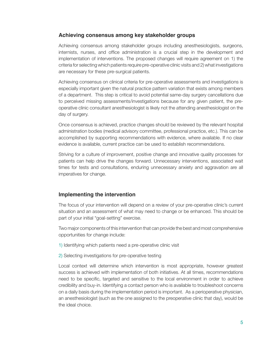## **Achieving consensus among key stakeholder groups**

Achieving consensus among stakeholder groups including anesthesiologists, surgeons, internists, nurses, and office administration is a crucial step in the development and implementation of interventions. The proposed changes will require agreement on 1) the criteria for selecting which patients require pre-operative clinic visits and 2) what investigations are necessary for these pre-surgical patients.

Achieving consensus on clinical criteria for pre-operative assessments and investigations is especially important given the natural practice pattern variation that exists among members of a department. This step is critical to avoid potential same-day surgery cancellations due to perceived missing assessments/investigations because for any given patient, the preoperative clinic consultant anesthesiologist is likely not the attending anesthesiologist on the day of surgery.

Once consensus is achieved, practice changes should be reviewed by the relevant hospital administration bodies (medical advisory committee, professional practice, etc.). This can be accomplished by supporting recommendations with evidence, where available. If no clear evidence is available, current practice can be used to establish recommendations.

Striving for a culture of improvement, positive change and innovative quality processes for patients can help drive the changes forward. Unnecessary interventions, associated wait times for tests and consultations, enduring unnecessary anxiety and aggravation are all imperatives for change.

## **Implementing the intervention**

The focus of your intervention will depend on a review of your pre-operative clinic's current situation and an assessment of what may need to change or be enhanced. This should be part of your initial "goal-setting" exercise.

Two major components of this intervention that can provide the best and most comprehensive opportunities for change include:

- 1) Identifying which patients need a pre-operative clinic visit
- 2) Selecting investigations for pre-operative testing

Local context will determine which intervention is most appropriate, however greatest success is achieved with implementation of both initiatives. At all times, recommendations need to be specific, targeted and sensitive to the local environment in order to achieve credibility and buy-in. Identifying a contact person who is available to troubleshoot concerns on a daily basis during the implementation period is important. As a perioperative physician, an anesthesiologist (such as the one assigned to the preoperative clinic that day), would be the ideal choice.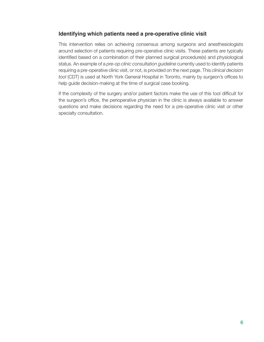## **Identifying which patients need a pre-operative clinic visit**

This intervention relies on achieving consensus among surgeons and anesthesiologists around selection of patients requiring pre-operative clinic visits. These patients are typically identified based on a combination of their planned surgical procedure(s) and physiological status. An example of a *pre-op clinic consultation guideline* currently used to identify patients requiring a pre-operative clinic visit, or not, is provided on the next page. This *clinical decision tool* (CDT) is used at North York General Hospital in Toronto, mainly by surgeon's offices to help guide decision-making at the time of surgical case booking.

If the complexity of the surgery and/or patient factors make the use of this tool difficult for the surgeon's office, the perioperative physician in the clinic is always available to answer questions and make decisions regarding the need for a pre-operative clinic visit or other specialty consultation.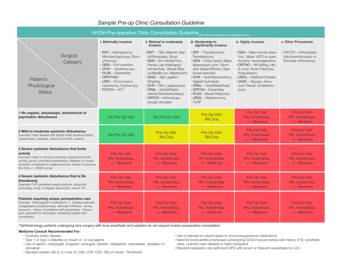| $NYGH$ Pre-operative Clinic Consultation Guideline $_{\text{(This table is intended as a guide line only)}}$                                                                                                                                                                                          |                                                                                                                                                                                                                         |                                                                                                                                                                                                                                                                                                                                                   |                                                                                                                                                                                                                                                                                                                                  |                                                                                                                                                                                                                                                    |                                                                               |  |  |  |
|-------------------------------------------------------------------------------------------------------------------------------------------------------------------------------------------------------------------------------------------------------------------------------------------------------|-------------------------------------------------------------------------------------------------------------------------------------------------------------------------------------------------------------------------|---------------------------------------------------------------------------------------------------------------------------------------------------------------------------------------------------------------------------------------------------------------------------------------------------------------------------------------------------|----------------------------------------------------------------------------------------------------------------------------------------------------------------------------------------------------------------------------------------------------------------------------------------------------------------------------------|----------------------------------------------------------------------------------------------------------------------------------------------------------------------------------------------------------------------------------------------------|-------------------------------------------------------------------------------|--|--|--|
|                                                                                                                                                                                                                                                                                                       | i. Minimally invasive                                                                                                                                                                                                   | ii. Minimal to moderately<br>invasive                                                                                                                                                                                                                                                                                                             | iii. Moderately to<br>significantly invasive                                                                                                                                                                                                                                                                                     | iv. Highly invasive                                                                                                                                                                                                                                | v. Other Procedures                                                           |  |  |  |
| Surgical<br>Category<br>Patient's<br>Physiological<br><b>Status</b>                                                                                                                                                                                                                                   | • ENT - Myringotomy,<br>Microlaryngoscopy, Bron-<br>choscopy<br>• GEN - Port Insertion<br>· GYN - Hysteroscopy<br>• PLAS – Extremities<br>• OPHTHAL*<br>· URO - Circumcision,<br>Vasectomy, Cystoscopy<br>• PSYCH - ECT | · ENT - T&A, Mastoid, Sep-<br>to/Rhinoplasty, Sinus<br>• GEN - Ano-Rectal Proc.,<br>Hernia, Lap chole/appy/<br>hernias/lysis, Breast Biop-<br>sy/Needle Loc, Mastectomy<br>• VASC - Vein Ligation/<br>Stripping<br>· GYN - D&C, Laparoscopy<br>• ORAL - Dental/Resto-<br>rations Extractions/biopsy<br>• ORTHO - Arthroscopy<br>(except shoulder) | • ENT – Thyroidectomy,<br>Parotidectomy<br>· GEN - Chole (open), Major<br>laparoscopic proc. Stom-<br>ach/ Spleen/Bowel, Open<br>bowel resection<br>• GYN - Hyst/Myomectomy,<br>Vaginal hyst/repair<br>• ORAL - Oral/Maxillofacial<br>• ORTHO - Extremities<br>• PLAS - Breast Reduction<br>· UROL - Nephrectomy,<br><b>TURP</b> | • GEN - Major bowel resec-<br>tion, Major VATS or open<br>thoracic, esophagectomy<br>· ORTHO - IM Nailing, Hip<br>& Long Bone Fractures,<br>Amputations<br>• UROL - Radical Prostate<br>· VASC - Bypass, Aneu-<br>rysm Repair, Endarterec-<br>tomy | <b>ORTHO</b> - Arthroplasty<br>(Hip/knee/shoulder) or<br>Shoulder arthroscopy |  |  |  |
| 1 No organic, physiologic, biochemical or<br>psychiatric disturbance                                                                                                                                                                                                                                  | No Pre-Op Visit                                                                                                                                                                                                         | No Pre-Op Visit                                                                                                                                                                                                                                                                                                                                   | Pre-Op Visit:<br><b>RN Only</b>                                                                                                                                                                                                                                                                                                  | Pre-Op Visit:<br>RN, Anesthesia,<br>+/- Medicine                                                                                                                                                                                                   | Pre-Op Visit:<br>RN, Anesthesia,<br>+/- Medicine                              |  |  |  |
| 2 Mild to moderate systemic disturbance<br>Example: Heart disease that slightly limits physical activity,<br>hypertension, diabetes, chronic bronchitis, anemia                                                                                                                                       | No Pre-Op Visit                                                                                                                                                                                                         | Pre-Op Visit:<br><b>RN Only</b>                                                                                                                                                                                                                                                                                                                   | Pre-Op Visit:<br><b>RN Only</b>                                                                                                                                                                                                                                                                                                  | Pre-Op Visit:<br>RN, Anesthesia,<br>$+/-$ Medicine                                                                                                                                                                                                 | Pre-Op Visit:<br>RN, Anesthesia,<br>+/- Medicine                              |  |  |  |
| 3 Severe systemic disturbance that limits<br>activity<br>Example: Heart or chronic pulmonary disease that limits<br>activity, poorly controlled hypertension, diabetes on insulin<br>and/with complications, angina pectoris, history of previous<br>MI, OSA +/- CPAP, cancer                         | Pre-Op Visit:<br>RN, Anesthesia,<br>$+/-$ Medicine                                                                                                                                                                      | Pre-Op Visit:<br>RN, Anesthesia,<br>$+/-$ Medicine                                                                                                                                                                                                                                                                                                | Pre-Op Visit:<br>RN, Anesthesia,<br>$+/-$ Medicine                                                                                                                                                                                                                                                                               | Pre-Op Visit:<br>RN. Anesthesia.<br>$+/-$ Medicine                                                                                                                                                                                                 | Pre-Op Visit:<br>RN, Anesthesia,<br>+/- Medicine                              |  |  |  |
| 4 Severe systemic disturbance that is life<br>threatening<br>Example: CHF, persistent angina pectoris, advanced<br>pulmonary, renal, or hepatic dysfunction, recent TIA                                                                                                                               | Pre-Op Visit:<br>RN, Anesthesia,<br>+/- Medicine                                                                                                                                                                        | Pre-Op Visit:<br>RN, Anesthesia,<br>+/- Medicine                                                                                                                                                                                                                                                                                                  | Pre-Op Visit:<br>RN, Anesthesia,<br>+/- Medicine                                                                                                                                                                                                                                                                                 | Pre-Op Visit:<br>RN, Anesthesia,<br>$+/-$ Medicine                                                                                                                                                                                                 | Pre-Op Visit:<br>RN, Anesthesia,<br>+/- Medicine                              |  |  |  |
| Patients requiring unique perioperative care<br>Example: Anticoaqulant medications +/- bridging required,<br>coaquiopathy, polypharmacy, Jehovah's Witness, airway<br>concerns, history of problems with anesthetics, chronic<br>pain, planned ICU admission, obstetrical patient with<br>comorbidity | Pre-Op Visit:<br>RN. Anesthesia.<br>$+/-$ Medicine                                                                                                                                                                      | Pre-Op Visit:<br>RN. Anesthesia.<br>$+/-$ Medicine                                                                                                                                                                                                                                                                                                | Pre-Op Visit:<br>RN. Anesthesia.<br>$+/-$ Medicine                                                                                                                                                                                                                                                                               | Pre-Op Visit:<br>RN. Anesthesia.<br>$+/-$ Medicine                                                                                                                                                                                                 | Pre-Op Visit:<br>RN, Anesthesia,<br>$+/-$ Medicine                            |  |  |  |

## *Sample Pre-op Clinic Consultation Guideline*

\*Ophthalmology patients undergoing lens surgery with local anesthetic and sedation do not require routine preoperative consultation

#### **Medicine Consult Recommended For:**

- Coronary artery disease
- Type 1 or type 2 diabetes on insulin or >2 oral agents
- Use of aspirin, clopidogrel, ticagrelor, prasugrel, warfarin, dabigatran, rivaroxaban, apixaban or edoxaban

• Use of steroids (or recent taper) or immunosuppressive medications

- Need for endocarditis prophylaxis (undergoing GI/GU/oral procedure with history of IE, prosthetic valve, cyanotic heart disease or heart transplant)
- Elevated respiratory risk (asthma/COPD with recent or frequent exacerbations, ILD)

• Elevated cardiac risk (2 or more of: CAD, CHF, CKD, DM on insulin, TIA/stroke)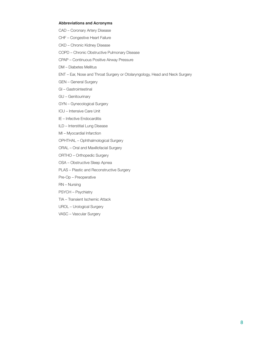#### **Abbreviations and Acronyms**

- CAD Coronary Artery Disease
- CHF Congestive Heart Failure
- CKD Chronic Kidney Disease
- COPD Chronic Obstructive Pulmonary Disease
- CPAP Continuous Positive Airway Pressure
- DM Diabetes Mellitus
- ENT Ear, Nose and Throat Surgery or Otolaryngology, Head and Neck Surgery
- GEN General Surgery
- GI Gastrointestinal
- GU Genitourinary
- GYN Gynecological Surgery
- ICU Intensive Care Unit
- IE Infective Endocarditis
- ILD Interstitial Lung Disease
- MI Myocardial Infarction
- OPHTHAL Ophthalmological Surgery
- ORAL Oral and Maxillofacial Surgery
- ORTHO Orthopedic Surgery
- OSA Obstructive Sleep Apnea
- PLAS Plastic and Reconstructive Surgery
- Pre-Op Preoperative
- RN Nursing
- PSYCH Psychiatry
- TIA Transient Ischemic Attack
- UROL Urological Surgery
- VASC Vascular Surgery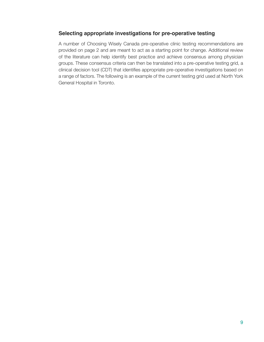## **Selecting appropriate investigations for pre-operative testing**

A number of Choosing Wisely Canada pre-operative clinic testing recommendations are provided on page 2 and are meant to act as a starting point for change. Additional review of the literature can help identify best practice and achieve consensus among physician groups. These consensus criteria can then be translated into a pre-operative testing grid, a clinical decision tool (CDT) that identifies appropriate pre-operative investigations based on a range of factors. The following is an example of the current testing grid used at North York General Hospital in Toronto.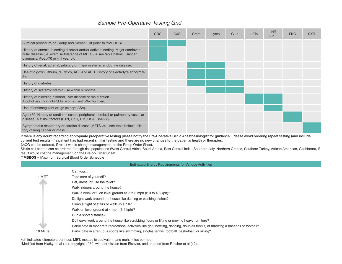# *Sample Pre-Operative Testing Grid*

|                                                                                                                                                                                                        | <b>CBC</b> | G&S | Creat | Lytes | Gluc | <b>LFT<sub>s</sub></b> | <b>INR</b><br>& PTT | <b>EKG</b> | <b>CXR</b> |
|--------------------------------------------------------------------------------------------------------------------------------------------------------------------------------------------------------|------------|-----|-------|-------|------|------------------------|---------------------|------------|------------|
| Surgical procedure on Group and Screen List (refer to **MSBOS).                                                                                                                                        |            |     |       |       |      |                        |                     |            |            |
| History of anemia, bleeding disorder and/or active bleeding. Major cardiovas-<br>cular disease (i.e. exercise tolerance of METS <4 see table below). Cancer<br>diagnosis. Age $>70$ or $<$ 1 year old. |            |     |       |       |      |                        |                     |            |            |
| History of renal, adrenal, pituitary or major systemic endocrine disease.                                                                                                                              |            |     |       |       |      |                        |                     |            |            |
| Use of digoxin, lithium, diuretics, ACE-I or ARB. History of electrolyte abnormal-<br>ity.                                                                                                             |            |     |       |       |      |                        |                     |            |            |
| History of diabetes.                                                                                                                                                                                   |            |     |       |       |      |                        |                     |            |            |
| History of systemic steroid use within 6 months.                                                                                                                                                       |            |     |       |       |      |                        |                     |            |            |
| History of bleeding disorder, liver disease or malnutrition.<br>Alcohol use >2 drinks/d for women and >3/d for men.                                                                                    |            |     |       |       |      |                        |                     |            |            |
| Use of anticoagulant drugs (except ASA).                                                                                                                                                               |            |     |       |       |      |                        |                     |            |            |
| Age >69. History of cardiac disease, peripheral, cerebral or pulmonary vascular<br>disease. $\geq$ 2 risk factors (HTN, CKD, DM, OSA, BMI $>$ 35)                                                      |            |     |       |       |      |                        |                     |            |            |
| Symptomatic respiratory or cardiac disease (METS $<$ 4 – see table below). His-<br>tory of lung cancer or mass.                                                                                        |            |     |       |       |      |                        |                     |            |            |

If there is any doubt regarding appropriate preoperative testing please notify the Pre-Operative Clinic Anesthesiologist for guidance. Please avoid ordering repeat testing (and include current test results) if a patient has had recent similar testing and there are no new changes to the patient's health or therapies:

βhCG can be ordered, if result would change management, on the Preop Order Sheet.

Sickle cell screen can be ordered for high risk populations (West Central Africa, Saudi Arabia, East Central India, Southern Italy, Northern Greece, Southern Turkey, African American, Caribbean), if result would change management, on the Pre-op Order Sheet.

**\*\*MSBOS** = Maximum Surgical Blood Order Schedule

#### Estimated Energy Requirements for Various Activities

|                     | Can you                                                                                                                          |
|---------------------|----------------------------------------------------------------------------------------------------------------------------------|
| 1 MET               | Take care of yourself?                                                                                                           |
|                     | Eat, dress, or use the toilet?                                                                                                   |
|                     | Walk indoors around the house?                                                                                                   |
|                     | Walk a block or 2 on level ground at 2 to 3 mph (2.3 to 4.8 kph)?                                                                |
|                     | Do light work around the house like dusting or washing dishes?                                                                   |
|                     | Climb a flight of stairs or walk up a hill?                                                                                      |
|                     | Walk on level ground at 4 mph (6.4 kph)?                                                                                         |
|                     | Run a short distance?                                                                                                            |
|                     | Do heavy work around the house like scrubbing floors or lifting or moving heavy furniture?                                       |
| فلله                | Participate in moderate recreational activities like golf, bowling, dancing, doubles tennis, or throwing a baseball or football? |
| 10 MET <sub>s</sub> | Participate in strenuous sports like swimming, singles tennis, football, basketball, or skiing?                                  |

kph indicates kilometers per hour, MET, metabolic equivalent; and mph, miles per hour. \*Modified from Hlatky et. al (11), copyright 1989, with permission from Elsevier, and adapted from Retcher et al (12).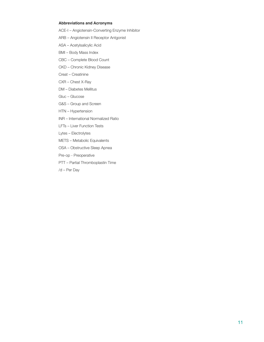#### **Abbreviations and Acronyms**

ACE-I – Angiotensin-Converting Enzyme Inhibitor

ARB – Angiotensin II Receptor Antgonist

ASA – Acetylsalicylic Acid

- BMI Body Mass Index
- CBC Complete Blood Count
- CKD Chronic Kidney Disease
- Creat Creatinine
- CXR Chest X-Ray
- DM Diabetes Mellitus
- Gluc Glucose
- G&S Group and Screen
- HTN Hypertension
- INR International Normalized Ratio
- LFTs Liver Function Tests
- Lytes Electrolytes
- METS Metabolic Equivalents
- OSA Obstructive Sleep Apnea
- Pre-op Preoperative
- PTT Partial Thromboplastin Time
- /d Per Day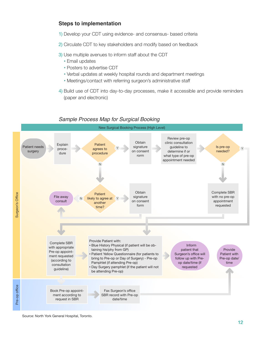## **Steps to implementation**

- 1) Develop your CDT using evidence- and consensus- based criteria
- 2) Circulate CDT to key stakeholders and modify based on feedback
- 3) Use multiple avenues to inform staff about the CDT
	- Email updates
	- Posters to advertise CDT
	- Verbal updates at weekly hospital rounds and department meetings
	- Meetings/contact with referring surgeon's administrative staff
- 4) Build use of CDT into day-to-day processes, make it accessible and provide reminders (paper and electronic)



## *Sample Process Map for Surgical Booking*

Source: North York General Hospital, Toronto.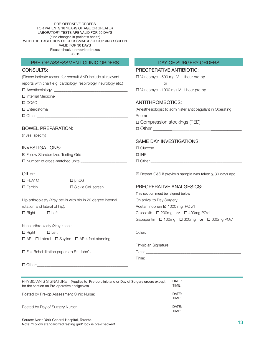PRE-OPERATIVE ORDERS FOR PATIENTS 18 YEARS OF AGE OR GREATER LABORATORY TESTS ARE VALID FOR 90 DAYS (if no changes in patient's health) WITH THE EXCEPTION OF CROSSMATCH/GROUP AND SCREEN VALID FOR 30 DAYS Please check appropriate boxes OS019

#### PRE-OP ASSESSMENT CLINIC ORDERS DAY OF SURGERY ORDERS

#### CONSULTS:

(Please indicate reason for consult AND include all relevant

reports with chart e.g. cardiology, respirology, neurology etc.)

 $\Box$  Anesthesiology  $\_$ 

Internal Medicine \_\_\_\_\_\_\_\_\_\_\_\_\_\_\_\_\_\_\_\_\_\_\_\_\_\_\_\_\_\_\_\_\_\_\_\_\_

 $\Box$  CCAC

□ Enterostomal

Other \_\_\_\_\_\_\_\_\_\_\_\_\_\_\_\_\_\_\_\_\_\_\_\_\_\_\_\_\_\_\_\_\_\_\_\_\_\_\_\_\_\_\_\_\_\_\_

#### BOWEL PREPARATION:

 $($ if yes, specify $)$   $\_\_$ 

#### INVESTIGATIONS:

| <b>⊠ Follow Standardized Testing Grid</b> |  |
|-------------------------------------------|--|
| $\Box$ Number of cross-matched units:     |  |

#### Other:

| $\Box$ HbA1C    | $\Box$ $\beta$ hCG   |
|-----------------|----------------------|
| $\Box$ Ferritin | □ Sickle Cell screen |

Hip arthroplasty (Xray pelvis with hip in 20 degree internal rotation and lateral of hip):

 $\Box$  Right  $\Box$  Left

Knee arthroplasty (Xray knee):  $\Box$  Right  $\Box$  Left  $\Box$  AP  $\Box$  Lateral  $\Box$  Skyline  $\Box$  AP 4 feet standing

Fax Rehabilitation papers to St. John's

# PREOPERATIVE ANTIBIOTIC:

 Vancomycin 500 mg IV 1hour pre-op **or or** Vancomycin 1000 mg IV 1 hour pre-op

#### ANTITHROMBOTICS:

(Anesthesiologist to administer anticoagulant in Operating Room) Compression stockings (TED) Other \_\_\_\_\_\_\_\_\_\_\_\_\_\_\_\_\_\_\_\_\_\_\_\_\_\_\_\_\_\_\_\_\_\_\_\_\_\_\_\_\_

### SAME DAY INVESTIGATIONS:

□ Glucose  $\square$  INR Other \_\_\_\_\_\_\_\_\_\_\_\_\_\_\_\_\_\_\_\_\_\_\_\_\_\_\_\_\_\_\_\_\_\_\_\_\_\_\_\_\_\_\_\_\_\_\_

Repeat G&S if previous sample was taken ≥ 30 days ago

## PREOPERATIVE ANALGESICS:

Other:\_\_\_\_\_\_\_\_\_\_\_\_\_\_\_\_\_\_\_\_\_\_\_\_\_\_\_\_\_\_\_\_\_\_\_\_\_\_\_\_

This section must be signed below On arrival to Day Surgery Acetaminophen ⊠ 1000 mg PO x1 Celecoxib  $\Box$  200mg or  $\Box$  400mg POx1 Gabapentin  $\Box$  100mg  $\Box$  300mg or  $\Box$  600mg POx1

Physician Signature: \_\_\_\_\_\_\_\_\_\_\_\_\_\_\_\_\_\_\_\_\_\_\_\_\_\_\_\_\_\_\_\_\_\_\_\_ Date: Time: \_\_\_\_\_\_\_\_\_\_\_\_\_\_\_\_\_\_\_\_\_\_\_\_\_\_\_\_\_\_\_\_\_\_\_\_\_\_\_\_\_\_\_\_\_\_\_\_\_

 $\Box$  Other:

| PHYSICIAN'S SIGNATURE (Applies to Pre-op clinic and or Day of Surgery orders except<br>for the section on Pre-operative analgesics) | DATE:<br>TIME: |
|-------------------------------------------------------------------------------------------------------------------------------------|----------------|
| Posted by Pre-op Assessment Clinic Nurse:                                                                                           | DATE:<br>TIME: |
| Posted by Day of Surgery Nurse:                                                                                                     | DATE:<br>TIME: |

Source: North York General Hospital, Toronto. Note: "Follow standardized testing grid" box is pre-checked!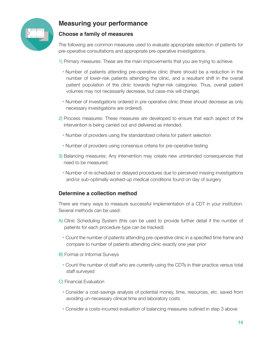

# **Measuring your performance**

## **Choose a family of measures**

The following are common measures used to evaluate appropriate selection of patients for pre-operative consultations and appropriate pre-operative investigations.

- 1) Primary measures: These are the main improvements that you are trying to achieve.
	- Number of patients attending pre-operative clinic (there should be a reduction in the number of lower-risk patients attending the clinic, and a resultant shift in the overall patient population of the clinic towards higher-risk categories. Thus, overall patient volumes may not necessarily decrease, but case-mix will change).
	- Number of investigations ordered in pre-operative clinic (these should decrease as only necessary investigations are ordered).
- 2) Process measures: These measures are developed to ensure that each aspect of the intervention is being carried out and delivered as intended.
	- Number of providers using the standardized criteria for patient selection
	- Number of providers using consensus criteria for pre-operative testing
- 3) Balancing measures: Any intervention may create new unintended consequences that need to be measured.
	- Number of re-scheduled or delayed procedures due to perceived missing investigations and/or sub-optimally worked-up medical conditions found on day of surgery

## **Determine a collection method**

There are many ways to measure successful implementation of a CDT in your institution. Several methods can be used:

- A) Clinic Scheduling System (this can be used to provide further detail if the number of patients for each procedure type can be tracked)
	- Count the number of patients attending pre-operative clinic in a specified time frame and compare to number of patients attending clinic exactly one year prior
- B) Formal or Informal Surveys
	- Count the number of staff who are currently using the CDTs in their practice versus total staff surveyed
- C) Financial Evaluation
	- Consider a cost-savings analysis of potential money, time, resources, etc. saved from avoiding un-necessary clinical time and laboratory costs
	- Consider a costs-incurred evaluation of balancing measures outlined in step 3 above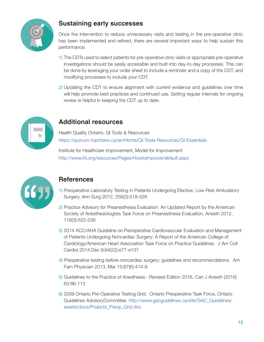

# **Sustaining early successes**

Once the intervention to reduce unnecessary visits and testing in the pre-operative clinic has been implemented and refined, there are several important ways to help sustain this performance.

- 1) The CDTs used to select patients for pre-operative clinic visits or appropriate pre-operative investigations should be easily accessible and built into day-to-day processes. This can be done by leveraging your order sheet to include a reminder and a copy of the CDT, and modifying processes to include your CDT.
- 2) Updating the CDT to ensure alignment with current evidence and guidelines over time will help promote best practices and continued use. Setting regular intervals for ongoing review is helpful in keeping the CDT up to date.



# **Additional resources**

Health Quality Ontario, QI Tools & Resources <https://quorum.hqontario.ca/en/Home/QI-Tools-Resources/QI-Essentials>

Institute for Healthcare Improvement, Model for Improvement <http://www.ihi.org/resources/Pages/HowtoImprove/default.aspx>



# **References**

- 1) Preoperative Laboratory Testing in Patients Undergoing Elective, Low-Risk Ambulatory Surgery. Ann Surg 2012, 256(3):518-528
- 2) Practice Advisory for Preanesthesia Evaluation: An Updated Report by the American Society of Anesthesiologists Task Force on Preanesthesia Evaluation. Anesth 2012, 116(3):522-538
- 3) 2014 ACC/AHA Guideline on Perioperative Cardiovascular Evaluation and Management of Patients Undergoing Noncardiac Surgery: A Report of the American College of Cardiology/American Heart Association Task Force on Practice Guidelines. J Am Coll Cardiol 2014,Dec 9;64(22):e77-e137
- 4) Preoperative testing before noncardiac surgery: guidelines and recommendations. Am Fam Physician 2013, Mar 15;87(6):414-8.
- 5) Guidelines to the Practice of Anesthesia Revised Edition 2016. Can J Anesth (2016) 63:86-112
- 6) 2009 Ontario Pre-Operative Testing Grid. Ontario Preoperative Task Force, Ontario Guidelines AdvisoryCommittee. [http://www.gacguidelines.ca/site/GAC\\_Guidelines/](http://www.gacguidelines.ca/site/GAC_Guidelines/assets/docs/Projects_Preop_Grid.doc) [assets/docs/Projects\\_Preop\\_Grid.doc](http://www.gacguidelines.ca/site/GAC_Guidelines/assets/docs/Projects_Preop_Grid.doc)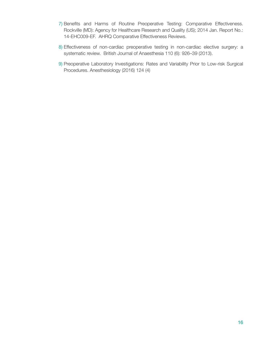- 7) Benefits and Harms of Routine Preoperative Testing: Comparative Effectiveness. Rockville (MD): Agency for Healthcare Research and Quality (US); 2014 Jan. Report No.: 14-EHC009-EF. AHRQ Comparative Effectiveness Reviews.
- 8) Effectiveness of non-cardiac preoperative testing in non-cardiac elective surgery: a systematic review. British Journal of Anaesthesia 110 (6): 926–39 (2013).
- 9) Preoperative Laboratory Investigations: Rates and Variability Prior to Low-risk Surgical Procedures. Anesthesiology (2016) 124 (4)